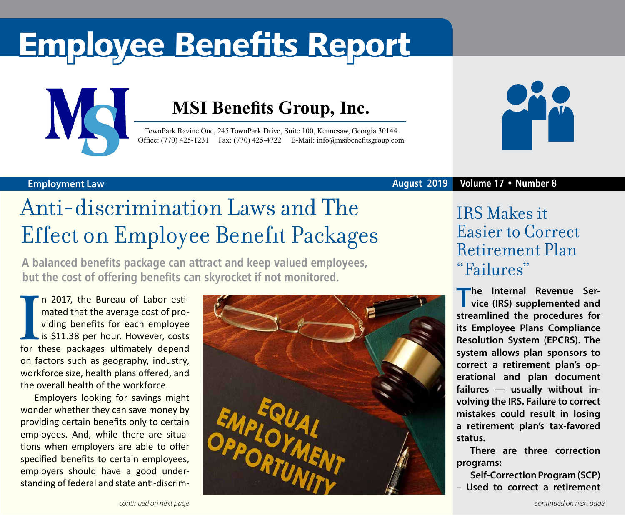# Employee Benefits Report



### **MSI Benefits Group, Inc.**

TownPark Ravine One, 245 TownPark Drive, Suite 100, Kennesaw, Georgia 30144 Office: (770) 425-1231 Fax: (770) 425-4722 E-Mail: [info@msibenefitsgroup.com](mailto:info@msibenefitsgroup.com)



### **Employment Law August 2019 Volume 17 • Number 8**

## Anti-discrimination Laws and The Effect on Employee Benefit Packages

**A balanced benefits package can attract and keep valued employees, but the cost of offering benefits can skyrocket if not monitored.**

In 2017, the Bureau of Labor esti-<br>
mated that the average cost of pro-<br>
viding benefits for each employee<br>
is \$11.38 per hour. However, costs<br>
for these packages ultimately depend n 2017, the Bureau of Labor estimated that the average cost of providing benefits for each employee is \$11.38 per hour. However, costs on factors such as geography, industry, workforce size, health plans offered, and the overall health of the workforce.

Employers looking for savings might wonder whether they can save money by providing certain benefits only to certain employees. And, while there are situations when employers are able to offer specified benefits to certain employees, employers should have a good understanding of federal and state anti-discrim-



### IRS Makes it Easier to Correct Retirement Plan "Failures"

**The Internal Revenue Ser-vice (IRS) supplemented and streamlined the procedures for its Employee Plans Compliance Resolution System (EPCRS). The system allows plan sponsors to correct a retirement plan's operational and plan document failures — usually without involving the IRS. Failure to correct mistakes could result in losing a retirement plan's tax-favored status.**

**There are three correction programs:** 

**Self-Correction Program (SCP) – Used to correct a retirement**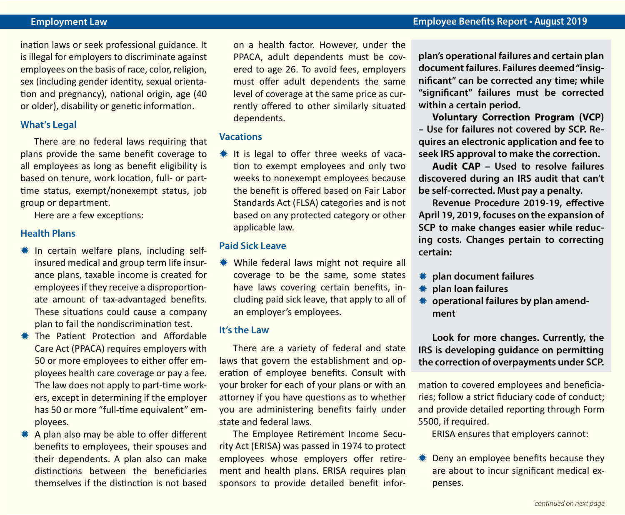#### **Employment Law Employee Benefits Report • August 2019**

ination laws or seek professional guidance. It is illegal for employers to discriminate against employees on the basis of race, color, religion, sex (including gender identity, sexual orientation and pregnancy), national origin, age (40 or older), disability or genetic information.

#### **What's Legal**

There are no federal laws requiring that plans provide the same benefit coverage to all employees as long as benefit eligibility is based on tenure, work location, full- or parttime status, exempt/nonexempt status, job group or department.

Here are a few exceptions:

#### **Health Plans**

- $*$  In certain welfare plans, including selfinsured medical and group term life insurance plans, taxable income is created for employees if they receive a disproportionate amount of tax-advantaged benefits. These situations could cause a company plan to fail the nondiscrimination test.
- **\* The Patient Protection and Affordable** Care Act (PPACA) requires employers with 50 or more employees to either offer employees health care coverage or pay a fee. The law does not apply to part-time workers, except in determining if the employer has 50 or more "full-time equivalent" employees.
- $*$  A plan also may be able to offer different benefits to employees, their spouses and their dependents. A plan also can make distinctions between the beneficiaries themselves if the distinction is not based

on a health factor. However, under the PPACA, adult dependents must be covered to age 26. To avoid fees, employers must offer adult dependents the same level of coverage at the same price as currently offered to other similarly situated dependents.

#### **Vacations**

 $*$  It is legal to offer three weeks of vacation to exempt employees and only two weeks to nonexempt employees because the benefit is offered based on Fair Labor Standards Act (FLSA) categories and is not based on any protected category or other applicable law.

#### **Paid Sick Leave**

**\*\*** While federal laws might not require all coverage to be the same, some states have laws covering certain benefits, including paid sick leave, that apply to all of an employer's employees.

#### **It's the Law**

There are a variety of federal and state laws that govern the establishment and operation of employee benefits. Consult with your broker for each of your plans or with an attorney if you have questions as to whether you are administering benefits fairly under state and federal laws.

The Employee Retirement Income Security Act (ERISA) was passed in 1974 to protect employees whose employers offer retirement and health plans. ERISA requires plan sponsors to provide detailed benefit infor**plan's operational failures and certain plan document failures. Failures deemed "insignificant" can be corrected any time; while "significant" failures must be corrected within a certain period.**

**Voluntary Correction Program (VCP) – Use for failures not covered by SCP. Requires an electronic application and fee to seek IRS approval to make the correction.** 

**Audit CAP – Used to resolve failures discovered during an IRS audit that can't be self-corrected. Must pay a penalty.**

**Revenue Procedure 2019-19, effective April 19, 2019, focuses on the expansion of SCP to make changes easier while reducing costs. Changes pertain to correcting certain:**

- **\*\*** plan document failures
- **\*\*** plan loan failures
- **\*** operational failures by plan amend**ment**

**Look for more changes. Currently, the IRS is developing guidance on permitting the correction of overpayments under SCP.**

mation to covered employees and beneficiaries; follow a strict fiduciary code of conduct; and provide detailed reporting through Form 5500, if required.

ERISA ensures that employers cannot:

 $*$  Deny an employee benefits because they are about to incur significant medical expenses.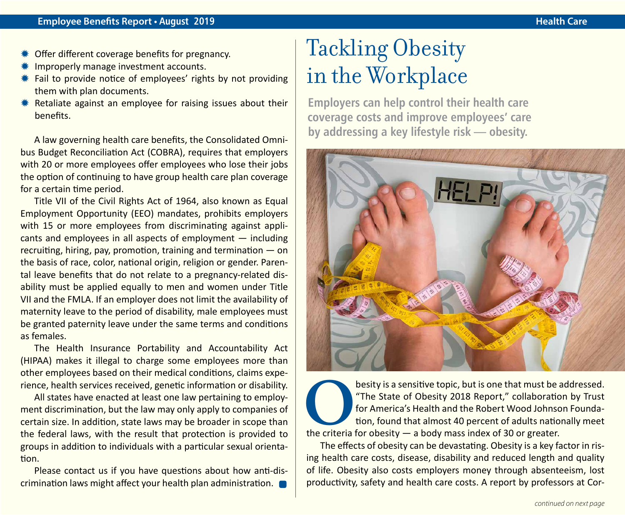- Offer different coverage benefits for pregnancy.
- Improperly manage investment accounts.
- $*$  Fail to provide notice of employees' rights by not providing them with plan documents.
- $*$  Retaliate against an employee for raising issues about their benefits.

A law governing health care benefits, the Consolidated Omnibus Budget Reconciliation Act (COBRA), requires that employers with 20 or more employees offer employees who lose their jobs the option of continuing to have group health care plan coverage for a certain time period.

Title VII of the Civil Rights Act of 1964, also known as Equal Employment Opportunity (EEO) mandates, prohibits employers with 15 or more employees from discriminating against applicants and employees in all aspects of employment — including recruiting, hiring, pay, promotion, training and termination — on the basis of race, color, national origin, religion or gender. Parental leave benefits that do not relate to a pregnancy-related disability must be applied equally to men and women under Title VII and the FMLA. If an employer does not limit the availability of maternity leave to the period of disability, male employees must be granted paternity leave under the same terms and conditions as females.

The Health Insurance Portability and Accountability Act (HIPAA) makes it illegal to charge some employees more than other employees based on their medical conditions, claims experience, health services received, genetic information or disability.

All states have enacted at least one law pertaining to employment discrimination, but the law may only apply to companies of certain size. In addition, state laws may be broader in scope than the federal laws, with the result that protection is provided to groups in addition to individuals with a particular sexual orientation.

Please contact us if you have questions about how anti-discrimination laws might affect your health plan administration.

### Tackling Obesity in the Workplace

**Employers can help control their health care coverage costs and improve employees' care by addressing a key lifestyle risk — obesity.** 



besity is a sensitive topic, but is one that must be addressed.<br>
The State of Obesity 2018 Report," collaboration by Trust<br>
for America's Health and the Robert Wood Johnson Founda-<br>
tion, found that almost 40 percent of ad "The State of Obesity 2018 Report," collaboration by Trust for America's Health and the Robert Wood Johnson Foundation, found that almost 40 percent of adults nationally meet the criteria for obesity  $-$  a body mass index of 30 or greater.

The effects of obesity can be devastating. Obesity is a key factor in rising health care costs, disease, disability and reduced length and quality of life. Obesity also costs employers money through absenteeism, lost productivity, safety and health care costs. A report by professors at Cor-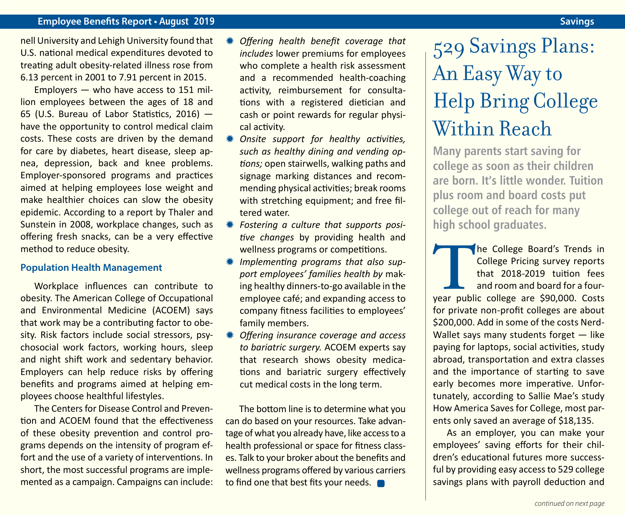#### **Employee Benefits Report • August 2019 Savings**

nell University and Lehigh University found that U.S. national medical expenditures devoted to treating adult obesity-related illness rose from 6.13 percent in 2001 to 7.91 percent in 2015.

Employers — who have access to 151 million employees between the ages of 18 and 65 (U.S. Bureau of Labor Statistics, 2016) have the opportunity to control medical claim costs. These costs are driven by the demand for care by diabetes, heart disease, sleep apnea, depression, back and knee problems. Employer-sponsored programs and practices aimed at helping employees lose weight and make healthier choices can slow the obesity epidemic. According to a report by Thaler and Sunstein in 2008, workplace changes, such as offering fresh snacks, can be a very effective method to reduce obesity.

#### **Population Health Management**

Workplace influences can contribute to obesity. The American College of Occupational and Environmental Medicine (ACOEM) says that work may be a contributing factor to obesity. Risk factors include social stressors, psychosocial work factors, working hours, sleep and night shift work and sedentary behavior. Employers can help reduce risks by offering benefits and programs aimed at helping employees choose healthful lifestyles.

The Centers for Disease Control and Prevention and ACOEM found that the effectiveness of these obesity prevention and control programs depends on the intensity of program effort and the use of a variety of interventions. In short, the most successful programs are implemented as a campaign. Campaigns can include:

- **Offering health benefit coverage that** *includes* lower premiums for employees who complete a health risk assessment and a recommended health-coaching activity, reimbursement for consultations with a registered dietician and cash or point rewards for regular physical activity.
- **Onsite support for healthy activities,** *such as healthy dining and vending options;* open stairwells, walking paths and signage marking distances and recommending physical activities; break rooms with stretching equipment; and free filtered water.
- $*$  **Fostering a culture that supports posi***tive changes* by providing health and wellness programs or competitions.
- Y *Implementing programs that also support employees' families health by* making healthy dinners-to-go available in the employee café; and expanding access to company fitness facilities to employees' family members.
- Y *Offering insurance coverage and access to bariatric surgery.* ACOEM experts say that research shows obesity medications and bariatric surgery effectively cut medical costs in the long term.

The bottom line is to determine what you can do based on your resources. Take advantage of what you already have, like access to a health professional or space for fitness classes. Talk to your broker about the benefits and wellness programs offered by various carriers to find one that best fits your needs.

## 529 Savings Plans: An Easy Way to Help Bring College Within Reach

**Many parents start saving for college as soon as their children are born. It's little wonder. Tuition plus room and board costs put college out of reach for many high school graduates.**

The College Board's Trends in<br>
College Pricing survey reports<br>
that 2018-2019 tuition fees<br>
and room and board for a four-<br>
year public college are \$90,000. Costs College Pricing survey reports that 2018-2019 tuition fees and room and board for a fourfor private non-profit colleges are about \$200,000. Add in some of the costs Nerd-Wallet says many students forget — like paying for laptops, social activities, study abroad, transportation and extra classes and the importance of starting to save early becomes more imperative. Unfortunately, according to Sallie Mae's study How America Saves for College, most parents only saved an average of \$18,135.

As an employer, you can make your employees' saving efforts for their children's educational futures more successful by providing easy access to 529 college savings plans with payroll deduction and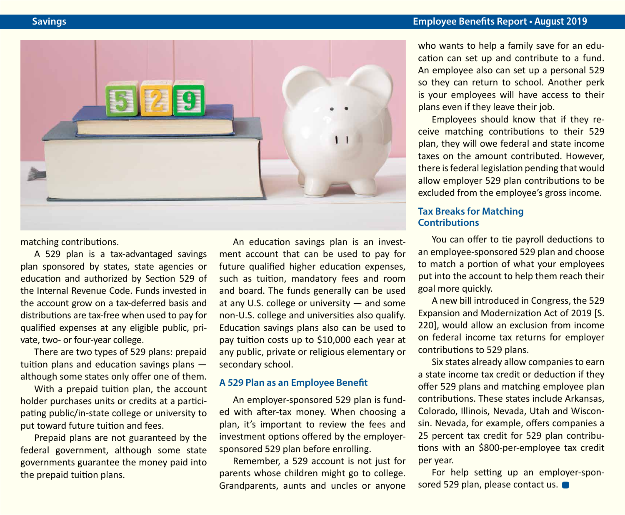

matching contributions.

A 529 plan is a tax-advantaged savings plan sponsored by states, state agencies or education and authorized by Section 529 of the Internal Revenue Code. Funds invested in the account grow on a tax-deferred basis and distributions are tax-free when used to pay for qualified expenses at any eligible public, private, two- or four-year college.

There are two types of 529 plans: prepaid tuition plans and education savings plans although some states only offer one of them.

With a prepaid tuition plan, the account holder purchases units or credits at a participating public/in-state college or university to put toward future tuition and fees.

Prepaid plans are not guaranteed by the federal government, although some state governments guarantee the money paid into the prepaid tuition plans.

An education savings plan is an investment account that can be used to pay for future qualified higher education expenses, such as tuition, mandatory fees and room and board. The funds generally can be used at any U.S. college or university — and some non-U.S. college and universities also qualify. Education savings plans also can be used to pay tuition costs up to \$10,000 each year at any public, private or religious elementary or secondary school.

#### **A 529 Plan as an Employee Benefit**

An employer-sponsored 529 plan is funded with after-tax money. When choosing a plan, it's important to review the fees and investment options offered by the employersponsored 529 plan before enrolling.

Remember, a 529 account is not just for parents whose children might go to college. Grandparents, aunts and uncles or anyone who wants to help a family save for an education can set up and contribute to a fund. An employee also can set up a personal 529 so they can return to school. Another perk is your employees will have access to their plans even if they leave their job.

Employees should know that if they receive matching contributions to their 529 plan, they will owe federal and state income taxes on the amount contributed. However, there is federal legislation pending that would allow employer 529 plan contributions to be excluded from the employee's gross income.

#### **Tax Breaks for Matching Contributions**

You can offer to tie payroll deductions to an employee-sponsored 529 plan and choose to match a portion of what your employees put into the account to help them reach their goal more quickly.

A new bill introduced in Congress, the 529 Expansion and Modernization Act of 2019 [S. 220], would allow an exclusion from income on federal income tax returns for employer contributions to 529 plans.

Six states already allow companies to earn a state income tax credit or deduction if they offer 529 plans and matching employee plan contributions. These states include Arkansas, Colorado, Illinois, Nevada, Utah and Wisconsin. Nevada, for example, offers companies a 25 percent tax credit for 529 plan contributions with an \$800-per-employee tax credit per year.

For help setting up an employer-sponsored 529 plan, please contact us.